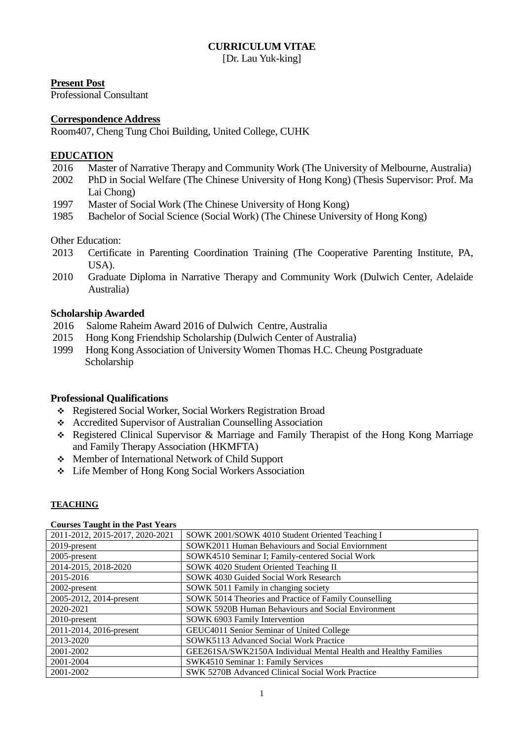# **CURRICULUM VITAE**

[Dr. Lau Yuk-king]

# **Present Post**

Professional Consultant

# **Correspondence Address**

Room407, Cheng Tung Choi Building, United College, CUHK

# **EDUCATION**

- 2016 Master of Narrative Therapy and Community Work (The University of Melbourne, Australia)
- 2002 PhD in Social Welfare (The Chinese University of Hong Kong) (Thesis Supervisor: Prof. Ma Lai Chong)
- 1997 Master of Social Work (The Chinese University of Hong Kong)
- 1985 Bachelor of Social Science (Social Work) (The Chinese University of Hong Kong)

Other Education:

- 2013 Certificate in Parenting Coordination Training (The Cooperative Parenting Institute, PA, USA).
- 2010 Graduate Diploma in Narrative Therapy and Community Work (Dulwich Center, Adelaide Australia)

# **Scholarship Awarded**

- 2016 Salome Raheim Award 2016 of Dulwich Centre, Australia
- 2015 Hong Kong Friendship Scholarship (Dulwich Center of Australia)
- 1999 Hong Kong Association of University Women Thomas H.C. Cheung Postgraduate Scholarship

## **Professional Qualifications**

- Registered Social Worker, Social Workers Registration Broad
- Accredited Supervisor of Australian Counselling Association
- Registered Clinical Supervisor & Marriage and Family Therapist of the Hong Kong Marriage and Family Therapy Association (HKMFTA)
- Member of International Network of Child Support
- Life Member of Hong Kong Social Workers Association

# **TEACHING**

| 2011-2012, 2015-2017, 2020-2021 | SOWK 2001/SOWK 4010 Student Oriented Teaching I                 |
|---------------------------------|-----------------------------------------------------------------|
| 2019-present                    | SOWK2011 Human Behaviours and Social Enviornment                |
| $2005$ -present                 | SOWK4510 Seminar I; Family-centered Social Work                 |
| 2014-2015, 2018-2020            | SOWK 4020 Student Oriented Teaching II                          |
| 2015-2016                       | SOWK 4030 Guided Social Work Research                           |
| 2002-present                    | SOWK 5011 Family in changing society                            |
| 2005-2012, 2014-present         | SOWK 5014 Theories and Practice of Family Counselling           |
| 2020-2021                       | <b>SOWK 5920B Human Behaviours and Social Environment</b>       |
| $2010$ -present                 | SOWK 6903 Family Intervention                                   |
| 2011-2014, 2016-present         | GEUC4011 Senior Seminar of United College                       |
| 2013-2020                       | SOWK5113 Advanced Social Work Practice                          |
| 2001-2002                       | GEE261SA/SWK2150A Individual Mental Health and Healthy Families |
| 2001-2004                       | SWK4510 Seminar 1: Family Services                              |
| 2001-2002                       | SWK 5270B Advanced Clinical Social Work Practice                |

#### **Courses Taught in the Past Years**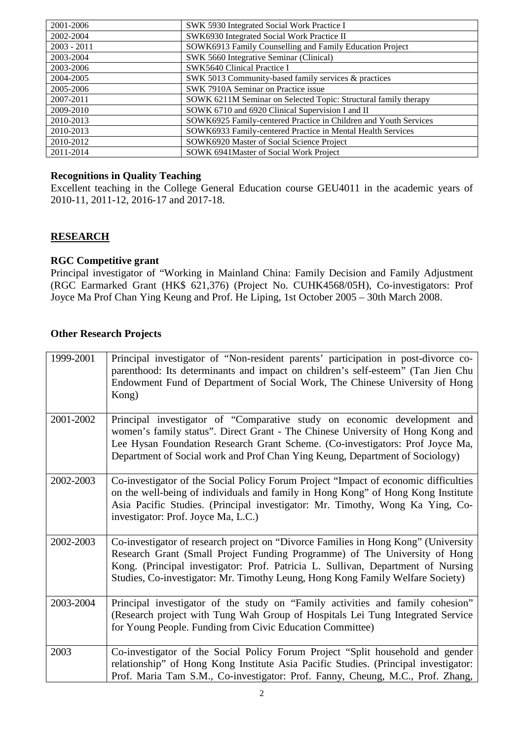| 2001-2006     | SWK 5930 Integrated Social Work Practice I                       |
|---------------|------------------------------------------------------------------|
| 2002-2004     | SWK6930 Integrated Social Work Practice II                       |
| $2003 - 2011$ | SOWK6913 Family Counselling and Family Education Project         |
| 2003-2004     | SWK 5660 Integrative Seminar (Clinical)                          |
| 2003-2006     | SWK5640 Clinical Practice I                                      |
| 2004-2005     | SWK 5013 Community-based family services & practices             |
| 2005-2006     | SWK 7910A Seminar on Practice issue                              |
| 2007-2011     | SOWK 6211M Seminar on Selected Topic: Structural family therapy  |
| 2009-2010     | SOWK 6710 and 6920 Clinical Supervision I and II                 |
| 2010-2013     | SOWK6925 Family-centered Practice in Children and Youth Services |
| 2010-2013     | SOWK6933 Family-centered Practice in Mental Health Services      |
| 2010-2012     | SOWK6920 Master of Social Science Project                        |
| 2011-2014     | SOWK 6941 Master of Social Work Project                          |

# **Recognitions in Quality Teaching**

Excellent teaching in the College General Education course GEU4011 in the academic years of 2010-11, 2011-12, 2016-17 and 2017-18.

# **RESEARCH**

## **RGC Competitive grant**

Principal investigator of "Working in Mainland China: Family Decision and Family Adjustment (RGC Earmarked Grant (HK\$ 621,376) (Project No. CUHK4568/05H), Co-investigators: Prof Joyce Ma Prof Chan Ying Keung and Prof. He Liping, 1st October 2005 – 30th March 2008.

## **Other Research Projects**

| 1999-2001 | Principal investigator of "Non-resident parents' participation in post-divorce co-<br>parenthood: Its determinants and impact on children's self-esteem" (Tan Jien Chu<br>Endowment Fund of Department of Social Work, The Chinese University of Hong<br>Kong)                                                                         |
|-----------|----------------------------------------------------------------------------------------------------------------------------------------------------------------------------------------------------------------------------------------------------------------------------------------------------------------------------------------|
| 2001-2002 | Principal investigator of "Comparative study on economic development and<br>women's family status". Direct Grant - The Chinese University of Hong Kong and<br>Lee Hysan Foundation Research Grant Scheme. (Co-investigators: Prof Joyce Ma,<br>Department of Social work and Prof Chan Ying Keung, Department of Sociology)            |
| 2002-2003 | Co-investigator of the Social Policy Forum Project "Impact of economic difficulties<br>on the well-being of individuals and family in Hong Kong" of Hong Kong Institute<br>Asia Pacific Studies. (Principal investigator: Mr. Timothy, Wong Ka Ying, Co-<br>investigator: Prof. Joyce Ma, L.C.)                                        |
| 2002-2003 | Co-investigator of research project on "Divorce Families in Hong Kong" (University<br>Research Grant (Small Project Funding Programme) of The University of Hong<br>Kong. (Principal investigator: Prof. Patricia L. Sullivan, Department of Nursing<br>Studies, Co-investigator: Mr. Timothy Leung, Hong Kong Family Welfare Society) |
| 2003-2004 | Principal investigator of the study on "Family activities and family cohesion"<br>(Research project with Tung Wah Group of Hospitals Lei Tung Integrated Service<br>for Young People. Funding from Civic Education Committee)                                                                                                          |
| 2003      | Co-investigator of the Social Policy Forum Project "Split household and gender<br>relationship" of Hong Kong Institute Asia Pacific Studies. (Principal investigator:<br>Prof. Maria Tam S.M., Co-investigator: Prof. Fanny, Cheung, M.C., Prof. Zhang,                                                                                |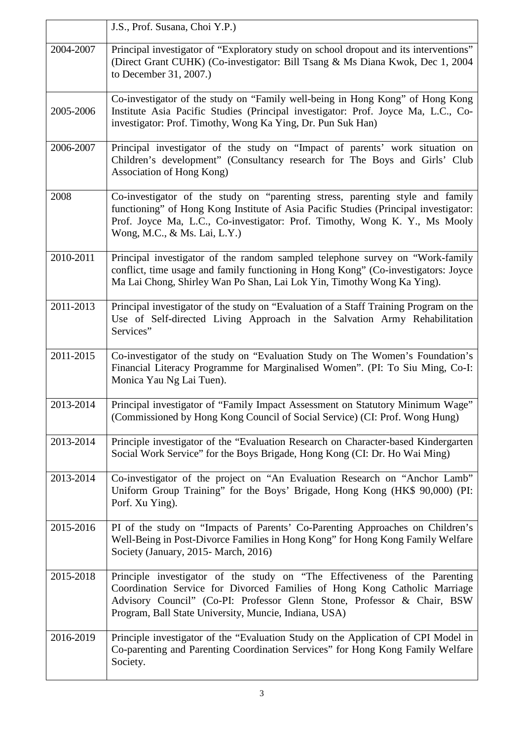|           | J.S., Prof. Susana, Choi Y.P.)                                                                                                                                                                                                                                                              |
|-----------|---------------------------------------------------------------------------------------------------------------------------------------------------------------------------------------------------------------------------------------------------------------------------------------------|
| 2004-2007 | Principal investigator of "Exploratory study on school dropout and its interventions"<br>(Direct Grant CUHK) (Co-investigator: Bill Tsang & Ms Diana Kwok, Dec 1, 2004)<br>to December 31, 2007.)                                                                                           |
| 2005-2006 | Co-investigator of the study on "Family well-being in Hong Kong" of Hong Kong<br>Institute Asia Pacific Studies (Principal investigator: Prof. Joyce Ma, L.C., Co-<br>investigator: Prof. Timothy, Wong Ka Ying, Dr. Pun Suk Han)                                                           |
| 2006-2007 | Principal investigator of the study on "Impact of parents' work situation on<br>Children's development" (Consultancy research for The Boys and Girls' Club<br>Association of Hong Kong)                                                                                                     |
| 2008      | Co-investigator of the study on "parenting stress, parenting style and family<br>functioning" of Hong Kong Institute of Asia Pacific Studies (Principal investigator:<br>Prof. Joyce Ma, L.C., Co-investigator: Prof. Timothy, Wong K. Y., Ms Mooly<br>Wong, M.C., & Ms. Lai, L.Y.)         |
| 2010-2011 | Principal investigator of the random sampled telephone survey on "Work-family"<br>conflict, time usage and family functioning in Hong Kong" (Co-investigators: Joyce<br>Ma Lai Chong, Shirley Wan Po Shan, Lai Lok Yin, Timothy Wong Ka Ying).                                              |
| 2011-2013 | Principal investigator of the study on "Evaluation of a Staff Training Program on the<br>Use of Self-directed Living Approach in the Salvation Army Rehabilitation<br>Services"                                                                                                             |
| 2011-2015 | Co-investigator of the study on "Evaluation Study on The Women's Foundation's<br>Financial Literacy Programme for Marginalised Women". (PI: To Siu Ming, Co-I:<br>Monica Yau Ng Lai Tuen).                                                                                                  |
| 2013-2014 | Principal investigator of "Family Impact Assessment on Statutory Minimum Wage"<br>(Commissioned by Hong Kong Council of Social Service) (CI: Prof. Wong Hung)                                                                                                                               |
| 2013-2014 | Principle investigator of the "Evaluation Research on Character-based Kindergarten"<br>Social Work Service" for the Boys Brigade, Hong Kong (CI: Dr. Ho Wai Ming)                                                                                                                           |
| 2013-2014 | Co-investigator of the project on "An Evaluation Research on "Anchor Lamb"<br>Uniform Group Training" for the Boys' Brigade, Hong Kong (HK\$ 90,000) (PI:<br>Porf. Xu Ying).                                                                                                                |
| 2015-2016 | PI of the study on "Impacts of Parents' Co-Parenting Approaches on Children's<br>Well-Being in Post-Divorce Families in Hong Kong" for Hong Kong Family Welfare<br>Society (January, 2015 - March, 2016)                                                                                    |
| 2015-2018 | Principle investigator of the study on "The Effectiveness of the Parenting<br>Coordination Service for Divorced Families of Hong Kong Catholic Marriage<br>Advisory Council" (Co-PI: Professor Glenn Stone, Professor & Chair, BSW<br>Program, Ball State University, Muncie, Indiana, USA) |
| 2016-2019 | Principle investigator of the "Evaluation Study on the Application of CPI Model in<br>Co-parenting and Parenting Coordination Services" for Hong Kong Family Welfare<br>Society.                                                                                                            |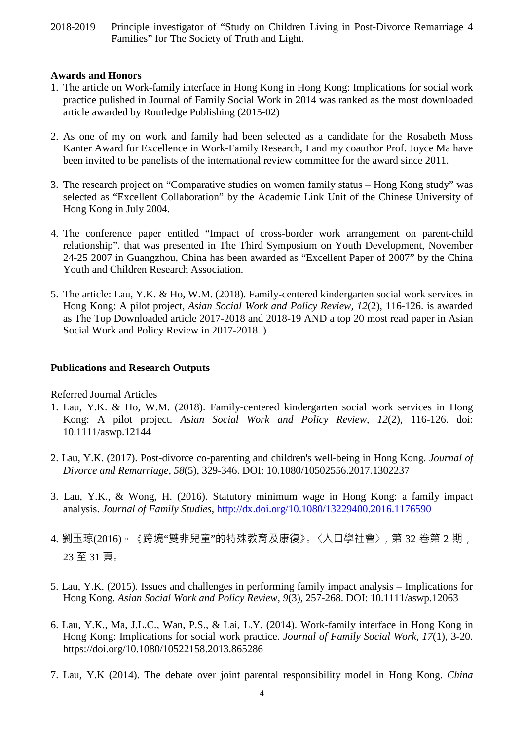| 2018-2019   Principle investigator of "Study on Children Living in Post-Divorce Remarriage 4 |
|----------------------------------------------------------------------------------------------|
| Families" for The Society of Truth and Light.                                                |

# **Awards and Honors**

- 1. The article on Work-family interface in Hong Kong in Hong Kong: Implications for social work practice pulished in Journal of Family Social Work in 2014 was ranked as the most downloaded article awarded by Routledge Publishing (2015-02)
- 2. As one of my on work and family had been selected as a candidate for the Rosabeth Moss Kanter Award for Excellence in Work-Family Research, I and my coauthor Prof. Joyce Ma have been invited to be panelists of the international review committee for the award since 2011.
- 3. The research project on "Comparative studies on women family status Hong Kong study" was selected as "Excellent Collaboration" by the Academic Link Unit of the Chinese University of Hong Kong in July 2004.
- 4. The conference paper entitled "Impact of cross-border work arrangement on parent-child relationship". that was presented in The Third Symposium on Youth Development, November 24-25 2007 in Guangzhou, China has been awarded as "Excellent Paper of 2007" by the China Youth and Children Research Association.
- 5. The article: Lau, Y.K. & Ho, W.M. (2018). Family-centered kindergarten social work services in Hong Kong: A pilot project, *Asian Social Work and Policy Review, 12*(2), 116-126. is awarded as The Top Downloaded article 2017-2018 and 2018-19 AND a top 20 most read paper in Asian Social Work and Policy Review in 2017-2018. )

# **Publications and Research Outputs**

## Referred Journal Articles

- 1. Lau, Y.K. & Ho, W.M. (2018). Family-centered kindergarten social work services in Hong Kong: A pilot project. *Asian Social Work and Policy Review, 12*(2), 116-126. doi: 10.1111/aswp.12144
- 2. Lau, Y.K. (2017). Post-divorce co-parenting and children's well-being in Hong Kong. *Journal of Divorce and Remarriage, 58*(5), 329-346. DOI: 10.1080/10502556.2017.1302237
- 3. Lau, Y.K., & Wong, H. (2016). Statutory minimum wage in Hong Kong: a family impact analysis. *Journal of Family Studies*,<http://dx.doi.org/10.1080/13229400.2016.1176590>
- 4. 劉玉琼(2016)。《跨境"雙非兒童"的特殊教育及康復》。〈人口學社會〉, 第 32 卷第 2 期, 23 至 31 頁。
- 5. Lau, Y.K. (2015). Issues and challenges in performing family impact analysis Implications for Hong Kong. *Asian Social Work and Policy Review, 9*(3), 257-268. DOI: 10.1111/aswp.12063
- 6. Lau, Y.K., Ma, J.L.C., Wan, P.S., & Lai, L.Y. (2014). Work-family interface in Hong Kong in Hong Kong: Implications for social work practice. *Journal of Family Social Work, 17*(1), 3-20. https://doi.org/10.1080/10522158.2013.865286
- 7. Lau, Y.K (2014). The debate over joint parental responsibility model in Hong Kong. *China*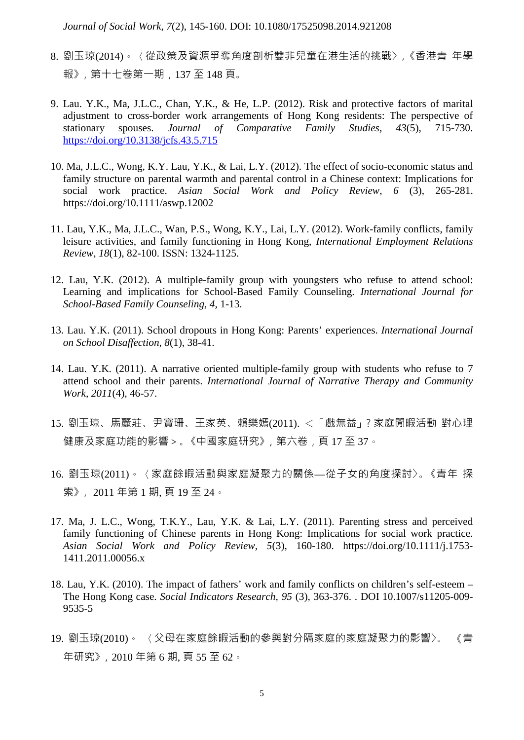*Journal of Social Work, 7*(2), 145-160. DOI: 10.1080/17525098.2014.921208

- 8. 劉玉琼(2014)。〈從政策及資源爭奪角度剖析雙非兒童在港生活的挑戰〉,《香港青 年學 報》,第十七卷第一期,137 至 148 頁。
- 9. Lau. Y.K., Ma, J.L.C., Chan, Y.K., & He, L.P. (2012). Risk and protective factors of marital adjustment to cross-border work arrangements of Hong Kong residents: The perspective of stationary spouses. *Journal of Comparative Family Studies, 43*(5), 715-730. <https://doi.org/10.3138/jcfs.43.5.715>
- 10. Ma, J.L.C., Wong, K.Y. Lau, Y.K., & Lai, L.Y. (2012). The effect of socio-economic status and family structure on parental warmth and parental control in a Chinese context: Implications for social work practice. *Asian Social Work and Policy Review, 6* (3), 265-281. https://doi.org/10.1111/aswp.12002
- 11. Lau, Y.K., Ma, J.L.C., Wan, P.S., Wong, K.Y., Lai, L.Y. (2012). Work-family conflicts, family leisure activities, and family functioning in Hong Kong, *International Employment Relations Review, 18*(1), 82-100. ISSN: 1324-1125.
- 12. Lau, Y.K. (2012). A multiple-family group with youngsters who refuse to attend school: Learning and implications for School-Based Family Counseling. *International Journal for School-Based Family Counseling, 4,* 1-13.
- 13. Lau. Y.K. (2011). School dropouts in Hong Kong: Parents' experiences. *International Journal on School Disaffection, 8*(1), 38-41.
- 14. Lau. Y.K. (2011). A narrative oriented multiple-family group with students who refuse to 7 attend school and their parents. *International Journal of Narrative Therapy and Community Work, 2011*(4), 46-57.
- 15. 劉玉琼、馬麗莊、尹寶珊、王家英、賴樂嫣(2011). <「戲無益」?家庭閒暇活動 對心理 健康及家庭功能的影響>。《中國家庭研究》,第六卷,頁 17 至 37。
- 16. 劉玉琼(2011)。〈家庭餘暇活動與家庭凝聚力的關係—從子女的角度探討〉。《青年 探 索》, 2011 年第 1 期, 頁 19 至 24。
- 17. Ma, J. L.C., Wong, T.K.Y., Lau, Y.K. & Lai, L.Y. (2011). Parenting stress and perceived family functioning of Chinese parents in Hong Kong: Implications for social work practice. *Asian Social Work and Policy Review, 5*(3), 160-180. https://doi.org/10.1111/j.1753- 1411.2011.00056.x
- 18. Lau, Y.K. (2010). The impact of fathers' work and family conflicts on children's self-esteem The Hong Kong case. *Social Indicators Research, 95* (3), 363-376. . DOI 10.1007/s11205-009- 9535-5
- 19. 劉玉琼(2010)。 〈父母在家庭餘暇活動的參與對分隔家庭的家庭凝聚力的影響〉。 《青 年研究》,2010 年第 6 期, 頁 55 至 62。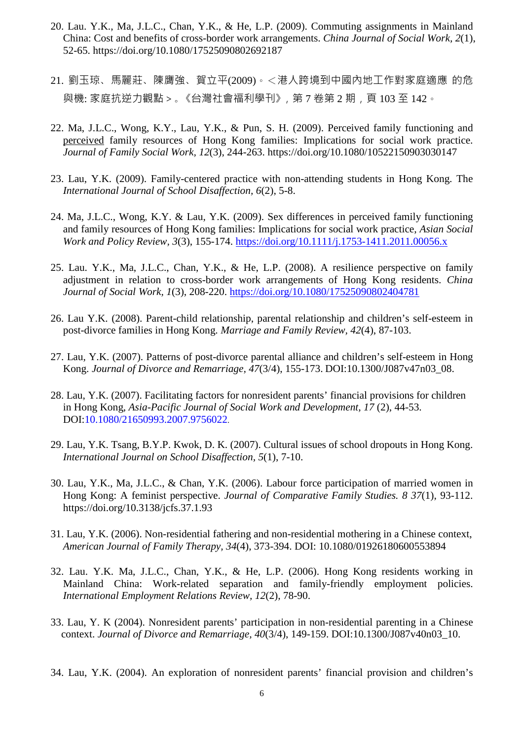- 20. Lau. Y.K., Ma, J.L.C., Chan, Y.K., & He, L.P. (2009). Commuting assignments in Mainland China: Cost and benefits of cross-border work arrangements. *China Journal of Social Work, 2*(1), 52-65. https://doi.org/10.1080/17525090802692187
- 21. 劉玉琼、馬麗莊、陳膺強、賀立平(2009)。<港人跨境到中國內地工作對家庭適應 的危 與機: 家庭抗逆力觀點 > 。《台灣社會福利學刊》, 第 7 卷第 2 期, 頁 103 至 142。
- 22. Ma, J.L.C., Wong, K.Y., Lau, Y.K., & Pun, S. H. (2009). Perceived family functioning and perceived family resources of Hong Kong families: Implications for social work practice. *Journal of Family Social Work, 12*(3), 244-263. https://doi.org/10.1080/10522150903030147
- 23. Lau, Y.K. (2009). Family-centered practice with non-attending students in Hong Kong. The *International Journal of School Disaffection, 6*(2), 5-8.
- 24. Ma, J.L.C., Wong, K.Y. & Lau, Y.K. (2009). Sex differences in perceived family functioning and family resources of Hong Kong families: Implications for social work practice, *Asian Social Work and Policy Review, 3*(3), 155-174.<https://doi.org/10.1111/j.1753-1411.2011.00056.x>
- 25. Lau. Y.K., Ma, J.L.C., Chan, Y.K., & He, L.P. (2008). A resilience perspective on family adjustment in relation to cross-border work arrangements of Hong Kong residents. *China Journal of Social Work, 1*(3), 208-220.<https://doi.org/10.1080/17525090802404781>
- 26. Lau Y.K. (2008). Parent-child relationship, parental relationship and children's self-esteem in post-divorce families in Hong Kong. *Marriage and Family Review, 42*(4), 87-103.
- 27. Lau, Y.K. (2007). Patterns of post-divorce parental alliance and children's self-esteem in Hong Kong. *Journal of Divorce and Remarriage, 47*(3/4), 155-173. DOI:10.1300/J087v47n03\_08.
- 28. Lau, Y.K. (2007). Facilitating factors for nonresident parents' financial provisions for children in Hong Kong, *Asia-Pacific Journal of Social Work and Development, 17 (2)*, 44-53. DOI:10.1080/21650993.2007.9756022.
- 29. Lau, Y.K. Tsang, B.Y.P. Kwok, D. K. (2007). Cultural issues of school dropouts in Hong Kong. *International Journal on School Disaffection, 5*(1), 7-10.
- 30. Lau, Y.K., Ma, J.L.C., & Chan, Y.K. (2006). Labour force participation of married women in Hong Kong: A feminist perspective. *Journal of Comparative Family Studies. 8 37*(1), 93-112. https://doi.org/10.3138/jcfs.37.1.93
- 31. Lau, Y.K. (2006). Non-residential fathering and non-residential mothering in a Chinese context, *American Journal of Family Therapy, 34*(4), 373-394. DOI: 10.1080/01926180600553894
- 32. Lau. Y.K. Ma, J.L.C., Chan, Y.K., & He, L.P. (2006). Hong Kong residents working in Mainland China: Work-related separation and family-friendly employment policies. *International Employment Relations Review, 12*(2), 78-90.
- 33. Lau, Y. K (2004). Nonresident parents' participation in non-residential parenting in a Chinese context. *Journal of Divorce and Remarriage, 40*(3/4), 149-159. DOI:10.1300/J087v40n03\_10.
- 34. Lau, Y.K. (2004). An exploration of nonresident parents' financial provision and children's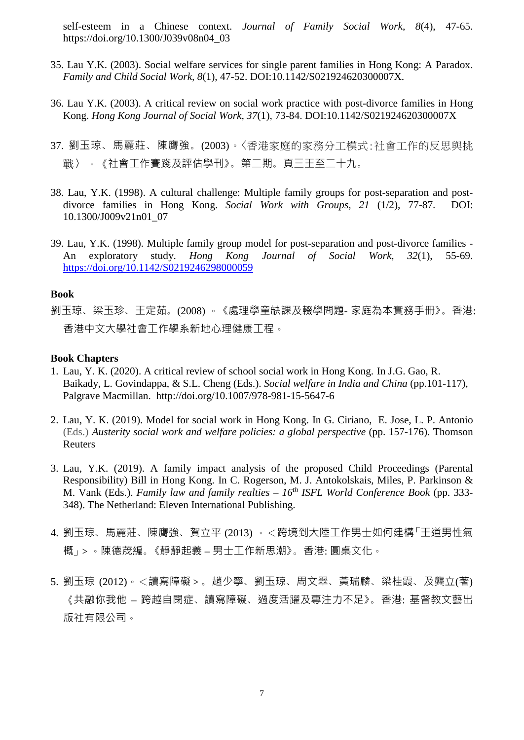self-esteem in a Chinese context. *Journal of Family Social Work, 8*(4), 47-65. https://doi.org/10.1300/J039v08n04\_03

- 35. Lau Y.K. (2003). Social welfare services for single parent families in Hong Kong: A Paradox. *Family and Child Social Work, 8*(1), 47-52. DOI:10.1142/S021924620300007X.
- 36. Lau Y.K. (2003). A critical review on social work practice with post-divorce families in Hong Kong. *Hong Kong Journal of Social Work, 37*(1), 73-84. DOI:10.1142/S021924620300007X
- 37. 劉玉琼、馬麗莊、陳膺強。(2003)。〈香港家庭的家務分工模式:社會工作的反思與挑 戰〉 。《社會工作賽踐及評估學刊》。第二期。頁三王至二十九。
- 38. Lau, Y.K. (1998). A cultural challenge: Multiple family groups for post-separation and postdivorce families in Hong Kong. *Social Work with Groups, 21* (1/2), 77-87. DOI: 10.1300/J009v21n01\_07
- 39. Lau, Y.K. (1998). Multiple family group model for post-separation and post-divorce families An exploratory study. *Hong Kong Journal of Social Work, 32*(1), 55-69. <https://doi.org/10.1142/S0219246298000059>

## **Book**

劉玉琼、梁玉珍、王定茹。(2008) 。 《處理學童缺課及輟學問題- 家庭為本實務手冊》。香港: 香港中文大學社會工作學系新地心理健康工程。

#### **Book Chapters**

- 1. Lau, Y. K. (2020). A critical review of school social work in Hong Kong. In J.G. Gao, R. Baikady, L. Govindappa, & S.L. Cheng (Eds.). *Social welfare in India and China* (pp.101-117), Palgrave Macmillan. http://doi.org/10.1007/978-981-15-5647-6
- 2. Lau, Y. K. (2019). Model for social work in Hong Kong. In G. Ciriano, E. Jose, [L. P. Antonio](https://www.thomsonreuters.es/es/tienda/duo-papel-ebook/austerity--social-work-and-welfare-policies--a-global-perspectiveduo/p/10014146) (Eds.) *Austerity social work and welfare policies: a global perspective* (pp. 157-176). Thomson Reuters
- 3. Lau, Y.K. (2019). A family impact analysis of the proposed Child Proceedings (Parental Responsibility) Bill in Hong Kong. In C. Rogerson, M. J. Antokolskais, Miles, P. Parkinson & M. Vank (Eds.). *Family law and family realties – 16th ISFL World Conference Book* (pp. 333- 348). The Netherland: Eleven International Publishing.
- 4. 劉玉琼、馬麗莊、陳膺強、賀立平 (2013) 。<跨境到大陸工作男士如何建構「王道男性氣 概」>。陳德荗編。《靜靜起義 – 男士工作新思潮》。香港: 圓桌文化。
- 5. 劉玉琼 (2012)。<讀寫障礙>。趙少寧、劉玉琼、周文翠、黃瑞麟、梁桂霞、及龔立(著) 《共融你我他 – 跨越自閉症、讀寫障礙、過度活躍及專注力不足》。香港: 基督教文藝出 版社有限公司。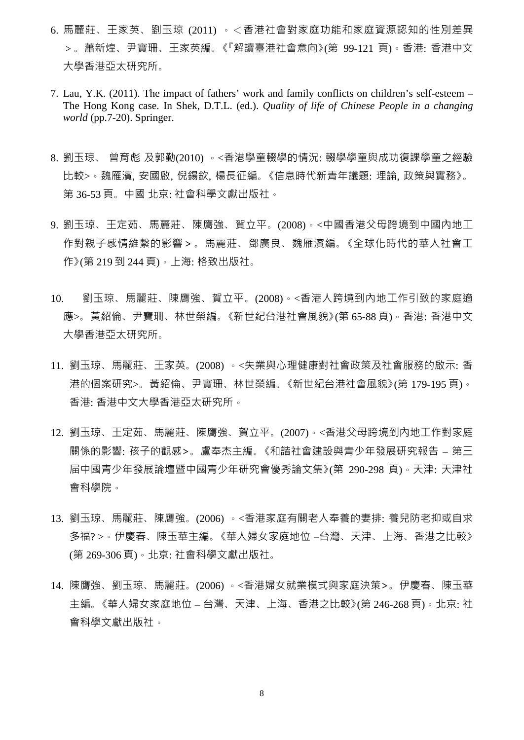- 6. 馬麗莊、王家英、劉玉琼 (2011) 。<香港社會對家庭功能和家庭資源認知的性別差異 >。蕭新煌、尹寶珊、王家英編。《『解讀臺港社會意向》(第 99-121 頁)。香港: 香港中文 大學香港亞太研究所。
- 7. Lau, Y.K. (2011). The impact of fathers' work and family conflicts on children's self-esteem The Hong Kong case. In Shek, D.T.L. (ed.). *Quality of life of Chinese People in a changing world* (pp.7-20). Springer.
- 8. 劉玉琼、 曾育彪 及郭勤(2010) 。<香港學童輟學的情況: 輟學學童與成功復課學童之經驗 比較>。魏雁濱, 安國啟, 倪鍚欽, 楊長征編。《信息時代新青年議題: 理論, 政策與實務》。 第 36-53 頁。中國 北京: 社會科學文獻出版社。
- 9. 劉玉琼、王定茹、馬麗莊、陳膺強、賀立平。(2008)。<中國香港父母跨境到中國內地工 作對親子感情維繫的影響>。馬麗莊、鄧廣良、魏雁濱編。《全球化時代的華人社會工 作》(第 219 到 244 頁)。上海: 格致出版社。
- 10. 劉玉琼、馬麗莊、陳膺強、賀立平。(2008)。<香港人跨境到內地工作引致的家庭適 應>。黃紹倫、尹寶珊、林世榮編。《新世紀台港社會風貌》(第 65-88 頁)。香港: 香港中文 大學香港亞太研究所。
- 11. 劉玉琼、馬麗莊、王家英。(2008) 。<失業與心理健康對社會政策及社會服務的啟示: 香 港的個案研究>。黃紹倫、尹寶珊、林世榮編。《新世紀台港社會風貌》(第 179-195 頁)。 香港: 香港中文大學香港亞太研究所。
- 12. 劉玉琼、王定茹、馬麗莊、陳膺強、賀立平。(2007)。<香港父母跨境到內地工作對家庭 關係的影響: 孩子的觀感>。盧奉杰主編。《和諧社會建設與青少年發展研究報告 – 第三 屇中國青少年發展論壇暨中國青少年研究會優秀論文集》(第 290-298 頁)。天津: 天津社 會科學院。
- 13. 劉玉琼、馬麗莊、陳膺強。(2006) 。<香港家庭有關老人奉養的妻排: 養兒防老抑或自求 多福? >。伊慶春、陳玉華主編。《華人婦女家庭地位 –台灣、天津、上海、香港之比較》 (第 269-306 頁)。北京: 社會科學文獻出版社。
- 14. 陳膺強、劉玉琼、馬麗莊。(2006) 。<香港婦女就業模式與家庭決策>。伊慶春、陳玉華 主編。《華人婦女家庭地位 – 台灣、天津、上海、香港之比較》(第 246-268 頁)。北京: 社 會科學文獻出版社。

8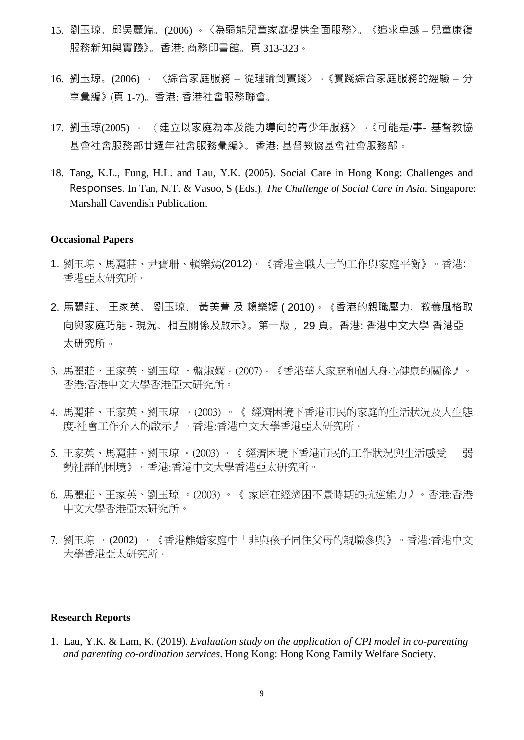- 15. 劉玉琼、邱吳麗端。(2006) 。 〈為弱能兒童家庭提供全面服務〉。 《追求卓越 兒童康復 服務新知與實踐》。香港: 商務印書館。頁 313-323。
- 16. 劉玉琼。(2006) 。 〈綜合家庭服務 從理論到實踐〉 。《實踐綜合家庭服務的經驗 分 享彙編》 (頁 1-7)。香港: 香港社會服務聯會。
- 17. 劉玉琼(2005) 。 〈建立以家庭為本及能力導向的青少年服務〉 。《可能是/事- 基督教協 基會社會服務部廿週年社會服務彙編》。香港: 基督教協基會社會服務部。
- 18. Tang, K.L., Fung, H.L. and Lau, Y.K. (2005). Social Care in Hong Kong: Challenges and Responses. In Tan, N.T. & Vasoo, S (Eds.). *The Challenge of Social Care in Asia.* Singapore: Marshall Cavendish Publication.

#### **Occasional Papers**

- 1. 劉玉琼、馬麗莊、尹寶珊、賴樂嫣(2012)。《香港全職人士的工作與家庭平衡》。香港: 香港亞太研究所。
- 2. 馬麗莊、 王家英、 劉玉琼、 黃美菁 及 賴樂嫣 ( 2010)。《香港的親職壓力、教養風格取 向與家庭巧能 - 現況、相互關係及啟示》。第一版, 29 頁。香港: 香港中文大學 香港亞 太研究所。
- 3. 馬麗莊、王家英、劉玉琼 、盤淑嫻。(2007)。《香港華人家庭和個人身心健康的關係》。 香港:香港中文大學香港亞太研究所。
- 4. 馬麗莊、王家英、劉玉琼 。(2003) 。《 經濟困境下香港市民的家庭的生活狀況及人生態 度-社會工作介入的啟示》。香港:香港中文大學香港亞太研究所。
- 5. 王家英、馬麗莊、劉玉琼 。(2003) 。《 經濟困境下香港市民的工作狀況與生活感受 弱 勢社群的困境》。香港:香港中文大學香港亞太研究所。
- 6. 馬麗莊、王家英、劉玉琼 。(2003) 。《 家庭在經濟困不景時期的抗逆能力》。香港:香港 中文大學香港亞太研究所。
- 7. 劉玉琼 。(2002) 。《香港離婚家庭中「非與孩子同住父母的親職參與》。香港:香港中文 大學香港亞太研究所。

#### **Research Reports**

1. Lau, Y.K. & Lam, K. (2019). *Evaluation study on the application of CPI model in co-parenting and parenting co-ordination services*. Hong Kong: Hong Kong Family Welfare Society.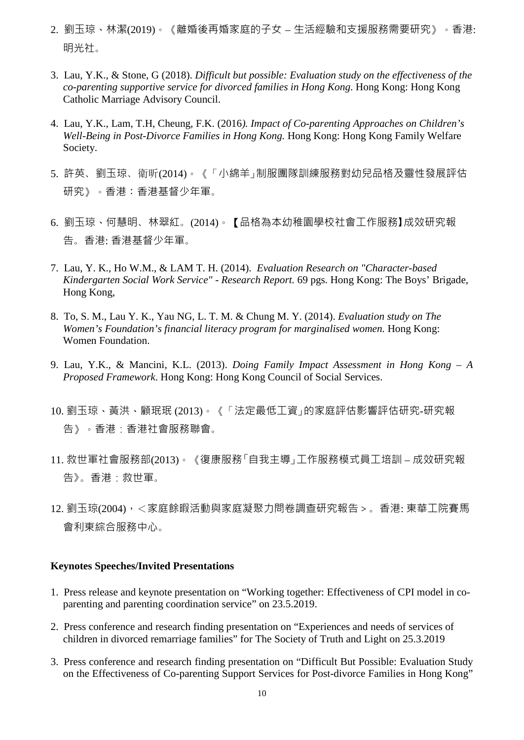- 2. 劉玉琼、林潔(2019)。《離婚後再婚家庭的子女 生活經驗和支援服務需要研究》。香港: 明光社。
- 3. Lau, Y.K., & Stone, G (2018). *Difficult but possible: Evaluation study on the effectiveness of the co-parenting supportive service for divorced families in Hong Kong*. Hong Kong: Hong Kong Catholic Marriage Advisory Council.
- 4. Lau, Y.K., Lam, T.H, Cheung, F.K. (2016*). Impact of Co-parenting Approaches on Children's Well-Being in Post-Divorce Families in Hong Kong.* Hong Kong: Hong Kong Family Welfare Society.
- 5. 許英、劉玉琼、衛昕(2014)。《「小綿羊」制服團隊訓練服務對幼兒品格及靈性發展評估 研究》。香港:香港基督少年軍。
- 6. 劉玉琼、何慧明、林翠紅。(2014)。【品格為本幼稚園學校社會工作服務】成效研究報 告。香港: 香港基督少年軍。
- 7. Lau, Y. K., Ho W.M., & LAM T. H. (2014). *Evaluation Research on "Character-based Kindergarten Social Work Service" - Research Report.* 69 pgs. Hong Kong: The Boys' Brigade, Hong Kong,
- 8. To, S. M., Lau Y. K., Yau NG, L. T. M. & Chung M. Y. (2014). *Evaluation study on The Women's Foundation's financial literacy program for marginalised women.* Hong Kong: Women Foundation.
- 9. Lau, Y.K., & Mancini, K.L. (2013). *Doing Family Impact Assessment in Hong Kong – A Proposed Framework*. Hong Kong: Hong Kong Council of Social Services.
- 10. 劉玉琼、黃洪、顧珉珉 (2013)。《「法定最低工資」的家庭評估影響評估研究-研究報 告》。香港:香港社會服務聯會。
- 11. 救世軍社會服務部(2013)。《復康服務「自我主導」工作服務模式員工培訓 成效研究報 告》。香港:救世軍。
- 12. 劉玉琼(2004), <家庭餘暇活動與家庭凝聚力問卷調查研究報告 > 。香港: 東華工院賽馬 會利東綜合服務中心。

# **Keynotes Speeches/Invited Presentations**

- 1. Press release and keynote presentation on "Working together: Effectiveness of CPI model in coparenting and parenting coordination service" on 23.5.2019.
- 2. Press conference and research finding presentation on "Experiences and needs of services of children in divorced remarriage families" for The Society of Truth and Light on 25.3.2019
- 3. Press conference and research finding presentation on "Difficult But Possible: Evaluation Study on the Effectiveness of Co-parenting Support Services for Post-divorce Families in Hong Kong"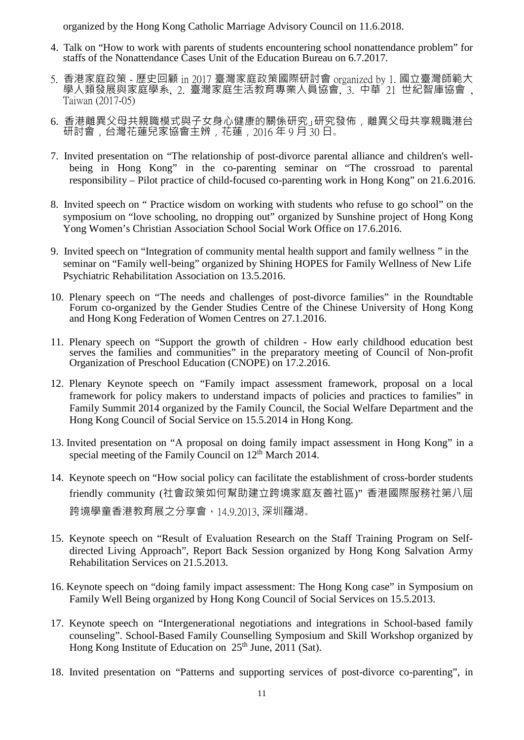organized by the Hong Kong Catholic Marriage Advisory Council on 11.6.2018.

- 4. Talk on "How to work with parents of students encountering school nonattendance problem" for staffs of the Nonattendance Cases Unit of the Education Bureau on 6.7.2017.
- 5. 香港家庭政策 歷史回顧 in 2017 臺灣家庭政策國際研討會 organized by 1. 國立臺灣師範大 學人類發展與家庭學系, 2. 臺灣家庭生活教育專業人員協會, 3. 中華 21 世紀智庫協會 ,<br>Taiwan(2017-05)
- 6. 香港離異父母共親職模式與子女身心健康的關係研究」研究發佈,離異父母共享親職港台 研討會,台灣花蓮兒家協會主辨,花蓮,2016年9月30日。
- 7. Invited presentation on "The relationship of post-divorce parental alliance and children's wellbeing in Hong Kong" in the co-parenting seminar on "The crossroad to parental responsibility – Pilot practice of child-focused co-parenting work in Hong Kong" on 21.6.2016.
- 8. Invited speech on " Practice wisdom on working with students who refuse to go school" on the symposium on "love schooling, no dropping out" organized by Sunshine project of Hong Kong Yong Women's Christian Association School Social Work Office on 17.6.2016.
- 9. Invited speech on "Integration of community mental health support and family wellness " in the seminar on "Family well-being" organized by Shining HOPES for Family Wellness of New Life Psychiatric Rehabilitation Association on 13.5.2016.
- 10. Plenary speech on "The needs and challenges of post-divorce families" in the Roundtable Forum co-organized by the Gender Studies Centre of the Chinese University of Hong Kong and Hong Kong Federation of Women Centres on 27.1.2016.
- 11. Plenary speech on "Support the growth of children How early childhood education best serves the families and communities" in the preparatory meeting of Council of Non-profit Organization of Preschool Education (CNOPE) on 17.2.2016.
- 12. Plenary Keynote speech on "Family impact assessment framework, proposal on a local framework for policy makers to understand impacts of policies and practices to families" in Family Summit 2014 organized by the Family Council, the Social Welfare Department and the Hong Kong Council of Social Service on 15.5.2014 in Hong Kong.
- 13. Invited presentation on "A proposal on doing family impact assessment in Hong Kong" in a special meeting of the Family Council on 12<sup>th</sup> March 2014.
- 14. Keynote speech on "How social policy can facilitate the establishment of cross-border students friendly community (社會政策如何幫助建立跨境家庭友善社區)" 香港國際服務社第八屆 跨境學童香港教育展之分享會,14.9.2013, 深圳羅湖。
- 15. Keynote speech on "Result of Evaluation Research on the Staff Training Program on Selfdirected Living Approach", Report Back Session organized by Hong Kong Salvation Army Rehabilitation Services on 21.5.2013.
- 16. Keynote speech on "doing family impact assessment: The Hong Kong case" in Symposium on Family Well Being organized by Hong Kong Council of Social Services on 15.5.2013.
- 17. Keynote speech on "Intergenerational negotiations and integrations in School-based family counseling". School-Based Family Counselling Symposium and Skill Workshop organized by Hong Kong Institute of Education on 25<sup>th</sup> June, 2011 (Sat).
- 18. Invited presentation on "Patterns and supporting services of post-divorce co-parenting", in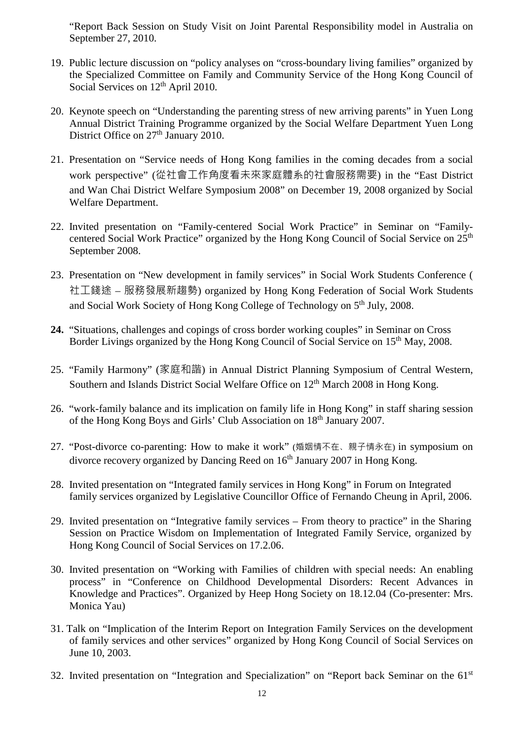"Report Back Session on Study Visit on Joint Parental Responsibility model in Australia on September 27, 2010.

- 19. Public lecture discussion on "policy analyses on "cross-boundary living families" organized by the Specialized Committee on Family and Community Service of the Hong Kong Council of Social Services on  $12<sup>th</sup>$  April 2010.
- 20. Keynote speech on "Understanding the parenting stress of new arriving parents" in Yuen Long Annual District Training Programme organized by the Social Welfare Department Yuen Long District Office on  $27<sup>th</sup>$  January 2010.
- 21. Presentation on "Service needs of Hong Kong families in the coming decades from a social work perspective" (從社會工作角度看未來家庭體系的社會服務需要) in the "East District and Wan Chai District Welfare Symposium 2008" on December 19, 2008 organized by Social Welfare Department.
- 22. Invited presentation on "Family-centered Social Work Practice" in Seminar on "Familycentered Social Work Practice" organized by the Hong Kong Council of Social Service on 25<sup>th</sup> September 2008.
- 23. Presentation on "New development in family services" in Social Work Students Conference ( 社工錢途 – 服務發展新趨勢) organized by Hong Kong Federation of Social Work Students and Social Work Society of Hong Kong College of Technology on 5<sup>th</sup> July, 2008.
- **24.** "Situations, challenges and copings of cross border working couples" in Seminar on Cross Border Livings organized by the Hong Kong Council of Social Service on 15<sup>th</sup> May, 2008.
- 25. "Family Harmony" (家庭和諧) in Annual District Planning Symposium of Central Western, Southern and Islands District Social Welfare Office on 12<sup>th</sup> March 2008 in Hong Kong.
- 26. "work-family balance and its implication on family life in Hong Kong" in staff sharing session of the Hong Kong Boys and Girls' Club Association on 18th January 2007.
- 27. "Post-divorce co-parenting: How to make it work" (婚姻情不在、親子情永在) in symposium on divorce recovery organized by Dancing Reed on 16<sup>th</sup> January 2007 in Hong Kong.
- 28. Invited presentation on "Integrated family services in Hong Kong" in Forum on Integrated family services organized by Legislative Councillor Office of Fernando Cheung in April, 2006.
- 29. Invited presentation on "Integrative family services From theory to practice" in the Sharing Session on Practice Wisdom on Implementation of Integrated Family Service, organized by Hong Kong Council of Social Services on 17.2.06.
- 30. Invited presentation on "Working with Families of children with special needs: An enabling process" in "Conference on Childhood Developmental Disorders: Recent Advances in Knowledge and Practices". Organized by Heep Hong Society on 18.12.04 (Co-presenter: Mrs. Monica Yau)
- 31. Talk on "Implication of the Interim Report on Integration Family Services on the development of family services and other services" organized by Hong Kong Council of Social Services on June 10, 2003.
- 32. Invited presentation on "Integration and Specialization" on "Report back Seminar on the 61st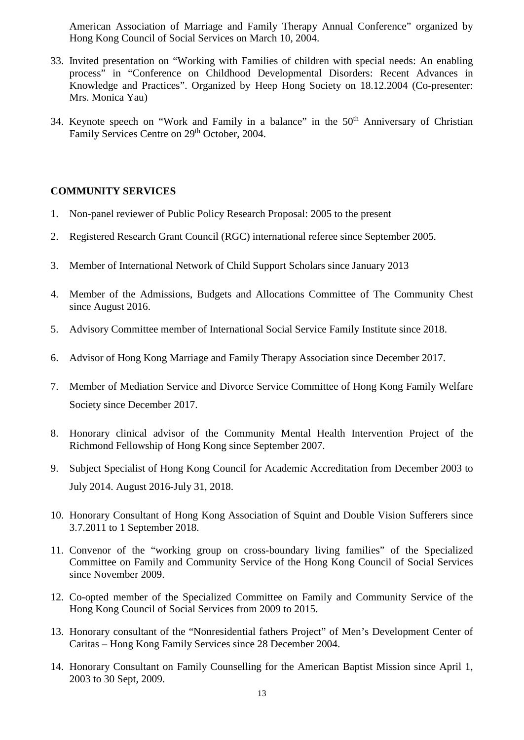American Association of Marriage and Family Therapy Annual Conference" organized by Hong Kong Council of Social Services on March 10, 2004.

- 33. Invited presentation on "Working with Families of children with special needs: An enabling process" in "Conference on Childhood Developmental Disorders: Recent Advances in Knowledge and Practices". Organized by Heep Hong Society on 18.12.2004 (Co-presenter: Mrs. Monica Yau)
- 34. Keynote speech on "Work and Family in a balance" in the 50<sup>th</sup> Anniversary of Christian Family Services Centre on 29<sup>th</sup> October, 2004.

# **COMMUNITY SERVICES**

- 1. Non-panel reviewer of Public Policy Research Proposal: 2005 to the present
- 2. Registered Research Grant Council (RGC) international referee since September 2005.
- 3. Member of International Network of Child Support Scholars since January 2013
- 4. Member of the Admissions, Budgets and Allocations Committee of The Community Chest since August 2016.
- 5. Advisory Committee member of International Social Service Family Institute since 2018.
- 6. Advisor of Hong Kong Marriage and Family Therapy Association since December 2017.
- 7. Member of Mediation Service and Divorce Service Committee of Hong Kong Family Welfare Society since December 2017.
- 8. Honorary clinical advisor of the Community Mental Health Intervention Project of the Richmond Fellowship of Hong Kong since September 2007.
- 9. Subject Specialist of Hong Kong Council for Academic Accreditation from December 2003 to July 2014. August 2016-July 31, 2018.
- 10. Honorary Consultant of Hong Kong Association of Squint and Double Vision Sufferers since 3.7.2011 to 1 September 2018.
- 11. Convenor of the "working group on cross-boundary living families" of the Specialized Committee on Family and Community Service of the Hong Kong Council of Social Services since November 2009.
- 12. Co-opted member of the Specialized Committee on Family and Community Service of the Hong Kong Council of Social Services from 2009 to 2015.
- 13. Honorary consultant of the "Nonresidential fathers Project" of Men's Development Center of Caritas – Hong Kong Family Services since 28 December 2004.
- 14. Honorary Consultant on Family Counselling for the American Baptist Mission since April 1, 2003 to 30 Sept, 2009.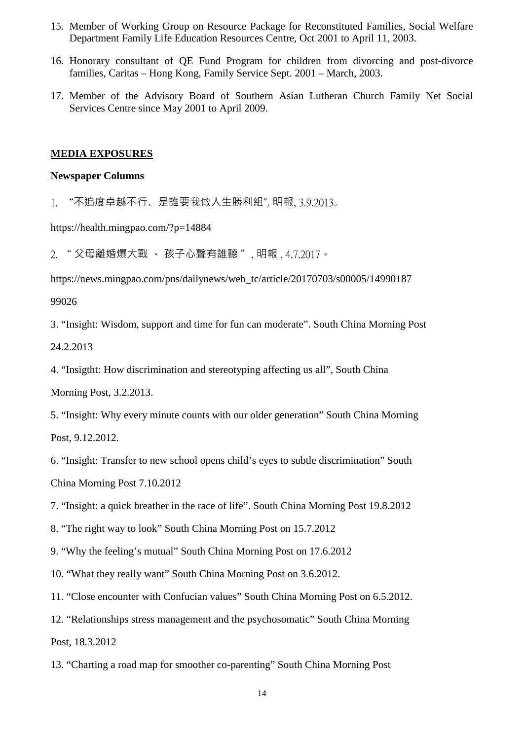- 15. Member of Working Group on Resource Package for Reconstituted Families, Social Welfare Department Family Life Education Resources Centre, Oct 2001 to April 11, 2003.
- 16. Honorary consultant of QE Fund Program for children from divorcing and post-divorce families, Caritas – Hong Kong, Family Service Sept. 2001 – March, 2003.
- 17. Member of the Advisory Board of Southern Asian Lutheran Church Family Net Social Services Centre since May 2001 to April 2009.

#### **MEDIA EXPOSURES**

#### **Newspaper Columns**

1. "不追度卓越不行、是誰要我做人生勝利組", 明報, 3.9.2013。

https://health.mingpao.com/?p=14884

2. " 父母離婚爆大戰 、 孩子心聲有誰聽 ", 明報 , 4.7.2017。

https://news.mingpao.com/pns/dailynews/web\_tc/article/20170703/s00005/14990187

#### 99026

3. "Insight: Wisdom, support and time for fun can moderate". South China Morning Post 24.2.2013

4. "Insigtht: How discrimination and stereotyping affecting us all", South China

Morning Post, 3.2.2013.

- 5. "Insight: Why every minute counts with our older generation" South China Morning Post, 9.12.2012.
- 6. "Insight: Transfer to new school opens child's eyes to subtle discrimination" South China Morning Post 7.10.2012
- 7. "Insight: a quick breather in the race of life". South China Morning Post 19.8.2012
- 8. "The right way to look" South China Morning Post on 15.7.2012
- 9. "Why the feeling's mutual" South China Morning Post on 17.6.2012
- 10. "What they really want" South China Morning Post on 3.6.2012.
- 11. "Close encounter with Confucian values" South China Morning Post on 6.5.2012.
- 12. "Relationships stress management and the psychosomatic" South China Morning Post, 18.3.2012
- 13. "Charting a road map for smoother co-parenting" South China Morning Post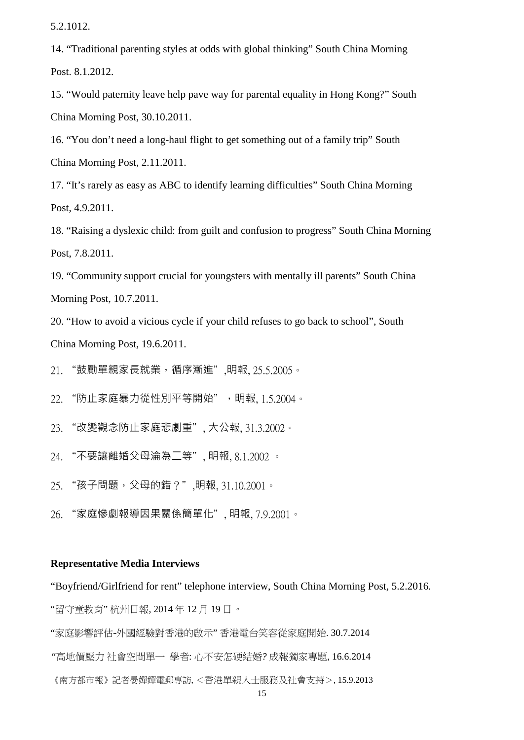5.2.1012.

14. "Traditional parenting styles at odds with global thinking" South China Morning Post. 8.1.2012.

15. "Would paternity leave help pave way for parental equality in Hong Kong?" South China Morning Post, 30.10.2011.

16. "You don't need a long-haul flight to get something out of a family trip" South China Morning Post, 2.11.2011.

17. "It's rarely as easy as ABC to identify learning difficulties" South China Morning Post, 4.9.2011.

18. "Raising a dyslexic child: from guilt and confusion to progress" South China Morning Post, 7.8.2011.

19. "Community support crucial for youngsters with mentally ill parents" South China Morning Post, 10.7.2011.

20. "How to avoid a vicious cycle if your child refuses to go back to school", South China Morning Post, 19.6.2011.

21. "鼓勵單親家長就業,循序漸進",明報, 25.5.2005。

22. "防止家庭暴力從性別平等開始",明報, 1.5.2004。

23. "改變觀念防止家庭悲劇重", 大公報, 31.3.2002。

24. "不要讓離婚父母淪為二等", 明報, 8.1.2002 。

25. "孩子問題,父母的錯?",明報, 31.10.2001。

26. "家庭慘劇報導因果關係簡單化", 明報, 7.9.2001。

#### **Representative Media Interviews**

"Boyfriend/Girlfriend for rent" telephone interview, South China Morning Post, 5.2.2016*.*  "留守童教育" 杭州日報, 2014 年 12 月 19 日。

"家庭影響評估-外國經驗對香港的啟示" 香港電台笑容從家庭開始. 30.7.2014

*"*高地價壓力 社會空間單一 學者: 心不安怎硬結婚*?* 成報獨家專題, 16.6.2014

《南方都市報》記者晏嬋嬋電郵專訪, <香港單親人士服務及社會支持>, 15.9.2013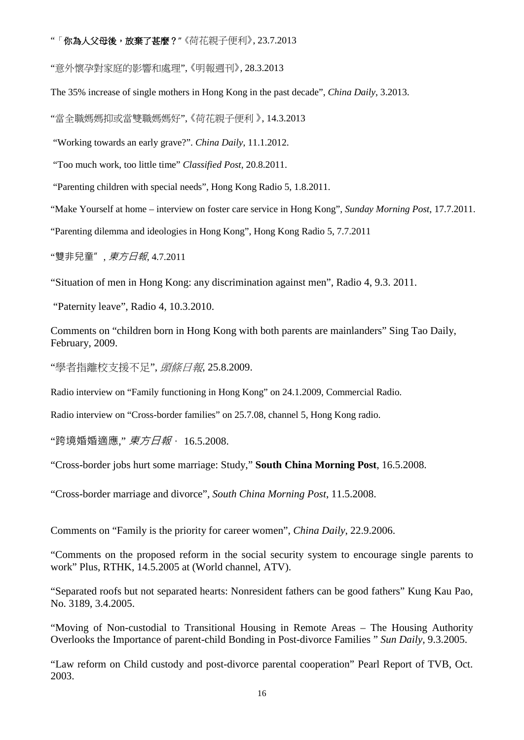#### "「你為人父母後,放棄了甚麼?" 《荷花親子便利》, 23.7.2013

"意外懷孕對家庭的影響和處理", 《明報週刊》, 28.3.2013

The 35% increase of single mothers in Hong Kong in the past decade", *China Daily*, 3.2013.

"當全職媽媽抑或當雙職媽媽好", 《荷花親子便利 》, 14.3.2013

"Working towards an early grave?". *China Daily*, 11.1.2012.

"Too much work, too little time" *Classified Post*, 20.8.2011.

"Parenting children with special needs", Hong Kong Radio 5, 1.8.2011.

"Make Yourself at home – interview on foster care service in Hong Kong", *Sunday Morning Post*, 17.7.2011.

"Parenting dilemma and ideologies in Hong Kong", Hong Kong Radio 5, 7.7.2011

"雙非兒童", *東方日報*, 4.7.2011

"Situation of men in Hong Kong: any discrimination against men", Radio 4, 9.3. 2011.

"Paternity leave", Radio 4, 10.3.2010.

Comments on "children born in Hong Kong with both parents are mainlanders" Sing Tao Daily, February, 2009.

"學者指離校支援不足", *頭條日報*, 25.8.2009.

Radio interview on "Family functioning in Hong Kong" on 24.1.2009, Commercial Radio.

Radio interview on "Cross-border families" on 25.7.08, channel 5, Hong Kong radio.

"跨境婚婚適應," *東方日報*, 16.5.2008.

"Cross-border jobs hurt some marriage: Study," **South China Morning Post**, 16.5.2008.

"Cross-border marriage and divorce", *South China Morning Post*, 11.5.2008.

Comments on "Family is the priority for career women", *China Daily*, 22.9.2006.

"Comments on the proposed reform in the social security system to encourage single parents to work" Plus, RTHK, 14.5.2005 at (World channel, ATV).

"Separated roofs but not separated hearts: Nonresident fathers can be good fathers" Kung Kau Pao, No. 3189, 3.4.2005.

"Moving of Non-custodial to Transitional Housing in Remote Areas – The Housing Authority Overlooks the Importance of parent-child Bonding in Post-divorce Families " *Sun Daily,* 9.3.2005.

"Law reform on Child custody and post-divorce parental cooperation" Pearl Report of TVB, Oct. 2003.